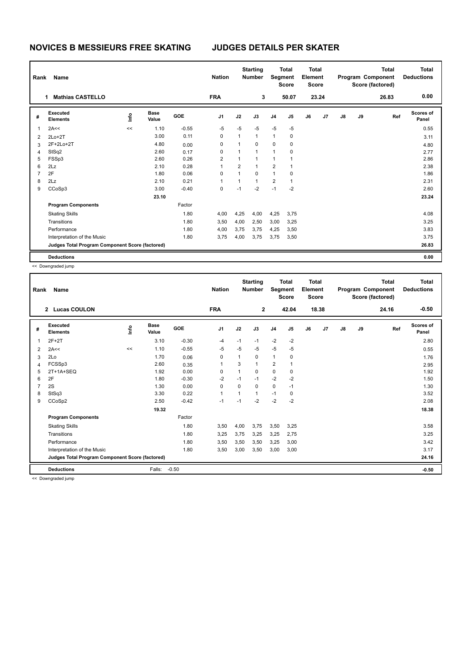## **NOVICES B MESSIEURS FREE SKATING JUDGES DETAILS PER SKATER**

| Rank | Name                                            |      |                      |            | <b>Nation</b> |                | <b>Starting</b><br><b>Number</b> |                | <b>Total</b><br>Segment<br><b>Score</b> | <b>Total</b><br>Element<br><b>Score</b> |       |    |    | <b>Total</b><br>Program Component<br>Score (factored) | <b>Total</b><br><b>Deductions</b> |
|------|-------------------------------------------------|------|----------------------|------------|---------------|----------------|----------------------------------|----------------|-----------------------------------------|-----------------------------------------|-------|----|----|-------------------------------------------------------|-----------------------------------|
|      | <b>Mathias CASTELLO</b>                         |      |                      |            | <b>FRA</b>    |                | 3                                |                | 50.07                                   |                                         | 23.24 |    |    | 26.83                                                 | 0.00                              |
| #    | Executed<br><b>Elements</b>                     | lnfo | <b>Base</b><br>Value | <b>GOE</b> | J1            | J2             | J3                               | J <sub>4</sub> | J <sub>5</sub>                          | J6                                      | J7    | J8 | J9 | Ref                                                   | <b>Scores of</b><br>Panel         |
| 1    | 2A<<                                            | <<   | 1.10                 | $-0.55$    | $-5$          | $-5$           | $-5$                             | $-5$           | $-5$                                    |                                         |       |    |    |                                                       | 0.55                              |
| 2    | $2Lo+2T$                                        |      | 3.00                 | 0.11       | 0             | $\mathbf{1}$   | $\mathbf{1}$                     | $\mathbf{1}$   | 0                                       |                                         |       |    |    |                                                       | 3.11                              |
| 3    | 2F+2Lo+2T                                       |      | 4.80                 | 0.00       | 0             | 1              | 0                                | 0              | 0                                       |                                         |       |    |    |                                                       | 4.80                              |
| 4    | StSq2                                           |      | 2.60                 | 0.17       | 0             | 1              | $\mathbf{1}$                     | $\mathbf{1}$   | 0                                       |                                         |       |    |    |                                                       | 2.77                              |
| 5    | FSSp3                                           |      | 2.60                 | 0.26       | 2             | 1              | $\overline{1}$                   | $\mathbf{1}$   | 1                                       |                                         |       |    |    |                                                       | 2.86                              |
| 6    | 2Lz                                             |      | 2.10                 | 0.28       |               | $\overline{2}$ | 1                                | $\overline{2}$ | 1                                       |                                         |       |    |    |                                                       | 2.38                              |
| 7    | 2F                                              |      | 1.80                 | 0.06       | $\Omega$      | 1              | $\Omega$                         | $\mathbf{1}$   | $\Omega$                                |                                         |       |    |    |                                                       | 1.86                              |
| 8    | 2Lz                                             |      | 2.10                 | 0.21       |               | 1              | $\mathbf{1}$                     | $\overline{2}$ | 1                                       |                                         |       |    |    |                                                       | 2.31                              |
| 9    | CCoSp3                                          |      | 3.00                 | $-0.40$    | 0             | $-1$           | $-2$                             | $-1$           | $-2$                                    |                                         |       |    |    |                                                       | 2.60                              |
|      |                                                 |      | 23.10                |            |               |                |                                  |                |                                         |                                         |       |    |    |                                                       | 23.24                             |
|      | <b>Program Components</b>                       |      |                      | Factor     |               |                |                                  |                |                                         |                                         |       |    |    |                                                       |                                   |
|      | <b>Skating Skills</b>                           |      |                      | 1.80       | 4,00          | 4,25           | 4,00                             | 4,25           | 3,75                                    |                                         |       |    |    |                                                       | 4.08                              |
|      | Transitions                                     |      |                      | 1.80       | 3,50          | 4,00           | 2,50                             | 3,00           | 3,25                                    |                                         |       |    |    |                                                       | 3.25                              |
|      | Performance                                     |      |                      | 1.80       | 4,00          | 3,75           | 3,75                             | 4,25           | 3,50                                    |                                         |       |    |    |                                                       | 3.83                              |
|      | Interpretation of the Music                     |      |                      | 1.80       | 3,75          | 4,00           | 3,75                             | 3,75           | 3,50                                    |                                         |       |    |    |                                                       | 3.75                              |
|      | Judges Total Program Component Score (factored) |      |                      |            |               |                |                                  |                |                                         |                                         |       |    |    |                                                       | 26.83                             |
|      | <b>Deductions</b>                               |      |                      |            |               |                |                                  |                |                                         |                                         |       |    |    |                                                       | 0.00                              |

<< Downgraded jump

| Rank           | Name                                            |    |                      |            | <b>Nation</b>  |              | <b>Starting</b><br><b>Number</b> | Segment        | <b>Total</b><br><b>Score</b> | <b>Total</b><br>Element<br><b>Score</b> |       |               |    | <b>Total</b><br>Program Component<br>Score (factored) | <b>Total</b><br><b>Deductions</b> |
|----------------|-------------------------------------------------|----|----------------------|------------|----------------|--------------|----------------------------------|----------------|------------------------------|-----------------------------------------|-------|---------------|----|-------------------------------------------------------|-----------------------------------|
|                | 2 Lucas COULON                                  |    |                      |            | <b>FRA</b>     |              | $\overline{2}$                   |                | 42.04                        |                                         | 18.38 |               |    | 24.16                                                 | $-0.50$                           |
| #              | Executed<br><b>Elements</b>                     | ۴ů | <b>Base</b><br>Value | <b>GOE</b> | J <sub>1</sub> | J2           | J3                               | J <sub>4</sub> | J5                           | J6                                      | J7    | $\mathsf{J}8$ | J9 | Ref                                                   | <b>Scores of</b><br>Panel         |
| 1              | $2F+2T$                                         |    | 3.10                 | $-0.30$    | $-4$           | $-1$         | $-1$                             | $-2$           | $-2$                         |                                         |       |               |    |                                                       | 2.80                              |
| $\overline{2}$ | 2A<<                                            | << | 1.10                 | $-0.55$    | $-5$           | $-5$         | -5                               | $-5$           | -5                           |                                         |       |               |    |                                                       | 0.55                              |
| 3              | 2Lo                                             |    | 1.70                 | 0.06       | 0              | 1            | 0                                | $\mathbf{1}$   | 0                            |                                         |       |               |    |                                                       | 1.76                              |
| 4              | FCSSp3                                          |    | 2.60                 | 0.35       | 1              | 3            | $\mathbf{1}$                     | $\overline{2}$ | 1                            |                                         |       |               |    |                                                       | 2.95                              |
| 5              | 2T+1A+SEQ                                       |    | 1.92                 | 0.00       | 0              | $\mathbf{1}$ | $\mathbf 0$                      | 0              | 0                            |                                         |       |               |    |                                                       | 1.92                              |
| 6              | 2F                                              |    | 1.80                 | $-0.30$    | $-2$           | $-1$         | $-1$                             | $-2$           | $-2$                         |                                         |       |               |    |                                                       | 1.50                              |
| 7              | 2S                                              |    | 1.30                 | 0.00       | $\Omega$       | $\Omega$     | $\Omega$                         | $\mathbf 0$    | $-1$                         |                                         |       |               |    |                                                       | 1.30                              |
| 8              | StSq3                                           |    | 3.30                 | 0.22       | $\mathbf{1}$   | 1            | 1                                | $-1$           | 0                            |                                         |       |               |    |                                                       | 3.52                              |
| 9              | CCoSp2                                          |    | 2.50                 | $-0.42$    | $-1$           | $-1$         | $-2$                             | $-2$           | $-2$                         |                                         |       |               |    |                                                       | 2.08                              |
|                |                                                 |    | 19.32                |            |                |              |                                  |                |                              |                                         |       |               |    |                                                       | 18.38                             |
|                | <b>Program Components</b>                       |    |                      | Factor     |                |              |                                  |                |                              |                                         |       |               |    |                                                       |                                   |
|                | <b>Skating Skills</b>                           |    |                      | 1.80       | 3,50           | 4,00         | 3,75                             | 3,50           | 3,25                         |                                         |       |               |    |                                                       | 3.58                              |
|                | Transitions                                     |    |                      | 1.80       | 3,25           | 3,75         | 3,25                             | 3,25           | 2,75                         |                                         |       |               |    |                                                       | 3.25                              |
|                | Performance                                     |    |                      | 1.80       | 3,50           | 3,50         | 3,50                             | 3,25           | 3,00                         |                                         |       |               |    |                                                       | 3.42                              |
|                | Interpretation of the Music                     |    |                      | 1.80       | 3,50           | 3,00         | 3,50                             | 3,00           | 3,00                         |                                         |       |               |    |                                                       | 3.17                              |
|                | Judges Total Program Component Score (factored) |    |                      |            |                |              |                                  |                |                              |                                         |       |               |    |                                                       | 24.16                             |
|                | <b>Deductions</b>                               |    | Falls:               | $-0.50$    |                |              |                                  |                |                              |                                         |       |               |    |                                                       | $-0.50$                           |
|                |                                                 |    |                      |            |                |              |                                  |                |                              |                                         |       |               |    |                                                       |                                   |

<< Downgraded jump